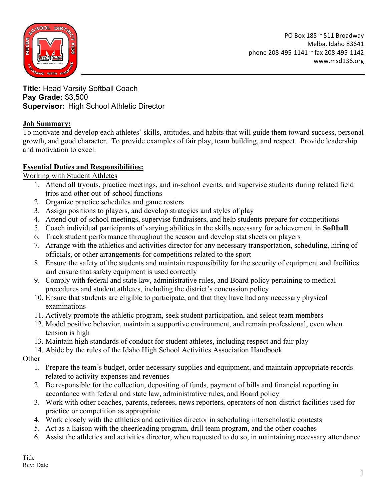

PO Box 185 ~ 511 Broadway Melba, Idaho 83641 phone 208-495-1141 ~ fax 208-495-1142 www.msd136.org

**Title:** Head Varsity Softball Coach **Pay Grade:** \$3,500 **Supervisor:** High School Athletic Director

### **Job Summary:**

To motivate and develop each athletes' skills, attitudes, and habits that will guide them toward success, personal growth, and good character. To provide examples of fair play, team building, and respect. Provide leadership and motivation to excel.

### **Essential Duties and Responsibilities:**

Working with Student Athletes

- 1. Attend all tryouts, practice meetings, and in-school events, and supervise students during related field trips and other out-of-school functions
- 2. Organize practice schedules and game rosters
- 3. Assign positions to players, and develop strategies and styles of play
- 4. Attend out-of-school meetings, supervise fundraisers, and help students prepare for competitions
- 5. Coach individual participants of varying abilities in the skills necessary for achievement in **Softball**
- 6. Track student performance throughout the season and develop stat sheets on players
- 7. Arrange with the athletics and activities director for any necessary transportation, scheduling, hiring of officials, or other arrangements for competitions related to the sport
- 8. Ensure the safety of the students and maintain responsibility for the security of equipment and facilities and ensure that safety equipment is used correctly
- 9. Comply with federal and state law, administrative rules, and Board policy pertaining to medical procedures and student athletes, including the district's concussion policy
- 10. Ensure that students are eligible to participate, and that they have had any necessary physical examinations
- 11. Actively promote the athletic program, seek student participation, and select team members
- 12. Model positive behavior, maintain a supportive environment, and remain professional, even when tension is high
- 13. Maintain high standards of conduct for student athletes, including respect and fair play
- 14. Abide by the rules of the Idaho High School Activities Association Handbook

**Other** 

- 1. Prepare the team's budget, order necessary supplies and equipment, and maintain appropriate records related to activity expenses and revenues
- 2. Be responsible for the collection, depositing of funds, payment of bills and financial reporting in accordance with federal and state law, administrative rules, and Board policy
- 3. Work with other coaches, parents, referees, news reporters, operators of non-district facilities used for practice or competition as appropriate
- 4. Work closely with the athletics and activities director in scheduling interscholastic contests
- 5. Act as a liaison with the cheerleading program, drill team program, and the other coaches
- 6. Assist the athletics and activities director, when requested to do so, in maintaining necessary attendance